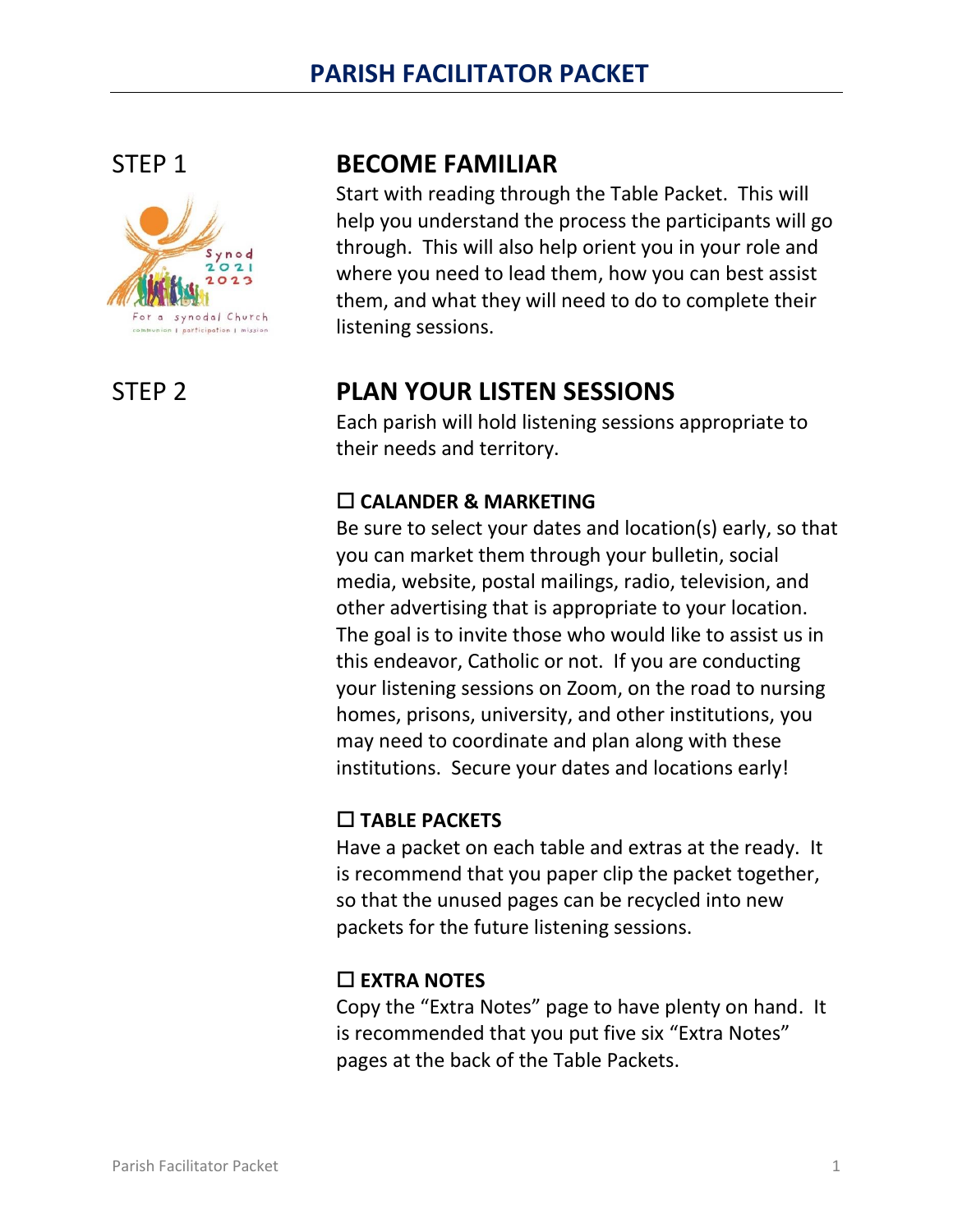

# STEP 1 **BECOME FAMILIAR**

Start with reading through the Table Packet. This will help you understand the process the participants will go through. This will also help orient you in your role and where you need to lead them, how you can best assist them, and what they will need to do to complete their listening sessions.

# STEP 2 **PLAN YOUR LISTEN SESSIONS**

Each parish will hold listening sessions appropriate to their needs and territory.

### **CALANDER & MARKETING**

Be sure to select your dates and location(s) early, so that you can market them through your bulletin, social media, website, postal mailings, radio, television, and other advertising that is appropriate to your location. The goal is to invite those who would like to assist us in this endeavor, Catholic or not. If you are conducting your listening sessions on Zoom, on the road to nursing homes, prisons, university, and other institutions, you may need to coordinate and plan along with these institutions. Secure your dates and locations early!

### **TABLE PACKETS**

Have a packet on each table and extras at the ready. It is recommend that you paper clip the packet together, so that the unused pages can be recycled into new packets for the future listening sessions.

## **EXTRA NOTES**

Copy the "Extra Notes" page to have plenty on hand. It is recommended that you put five six "Extra Notes" pages at the back of the Table Packets.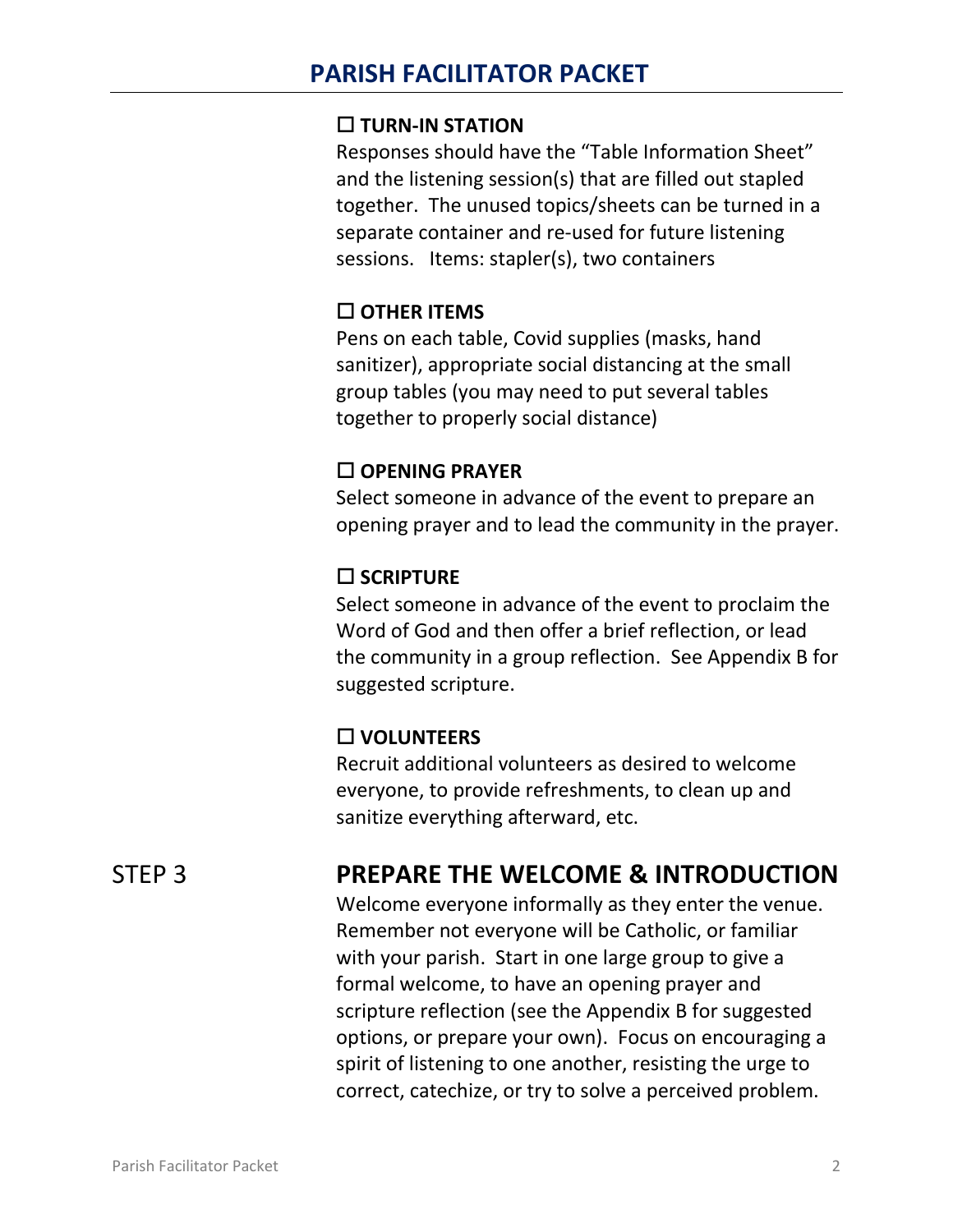#### **TURN-IN STATION**

Responses should have the "Table Information Sheet" and the listening session(s) that are filled out stapled together. The unused topics/sheets can be turned in a separate container and re-used for future listening sessions. Items: stapler(s), two containers

#### **OTHER ITEMS**

Pens on each table, Covid supplies (masks, hand sanitizer), appropriate social distancing at the small group tables (you may need to put several tables together to properly social distance)

#### **OPENING PRAYER**

Select someone in advance of the event to prepare an opening prayer and to lead the community in the prayer.

#### **SCRIPTURE**

Select someone in advance of the event to proclaim the Word of God and then offer a brief reflection, or lead the community in a group reflection. See Appendix B for suggested scripture.

### **VOLUNTEERS**

Recruit additional volunteers as desired to welcome everyone, to provide refreshments, to clean up and sanitize everything afterward, etc.

## STEP 3 **PREPARE THE WELCOME & INTRODUCTION**

Welcome everyone informally as they enter the venue. Remember not everyone will be Catholic, or familiar with your parish. Start in one large group to give a formal welcome, to have an opening prayer and scripture reflection (see the Appendix B for suggested options, or prepare your own). Focus on encouraging a spirit of listening to one another, resisting the urge to correct, catechize, or try to solve a perceived problem.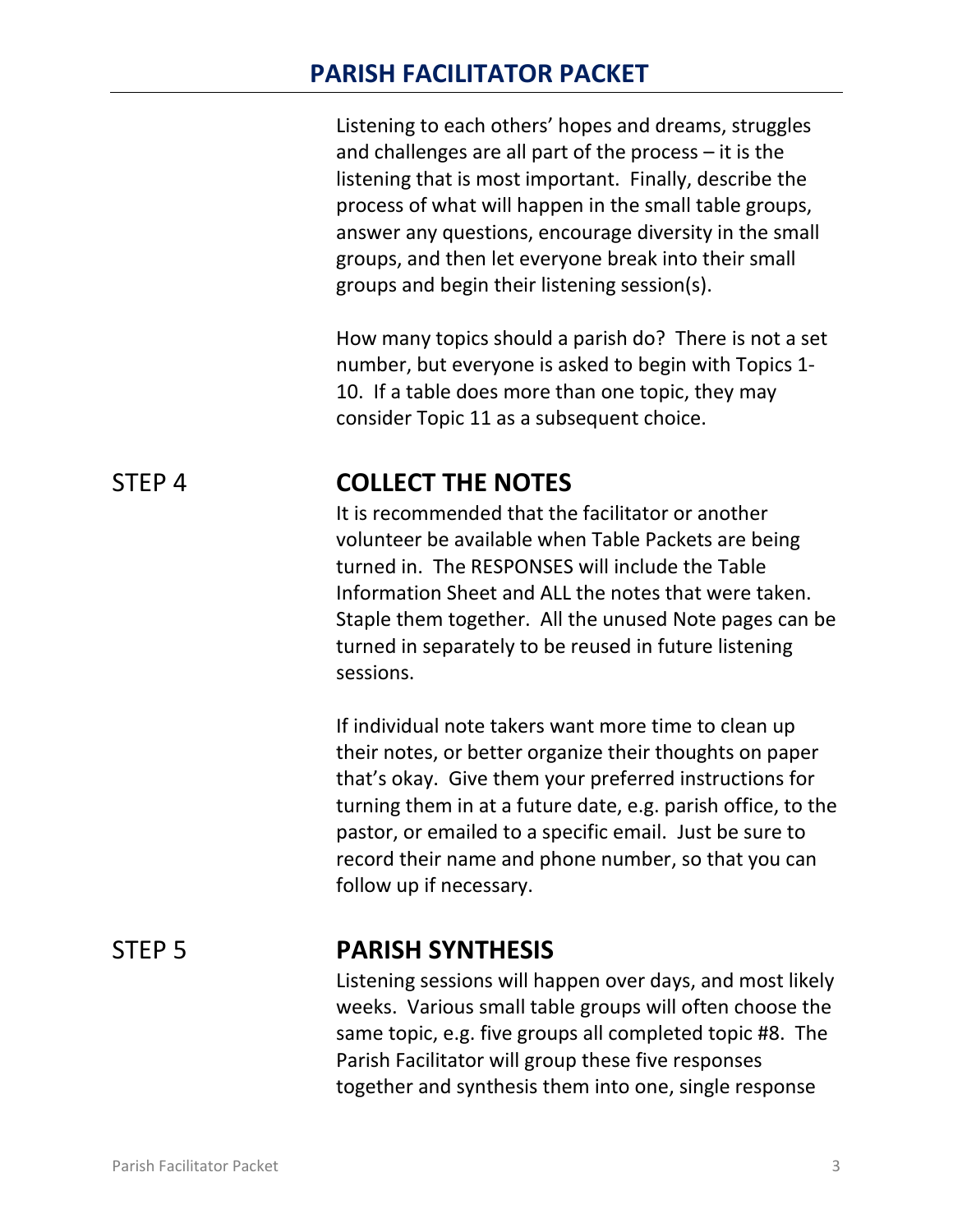Listening to each others' hopes and dreams, struggles and challenges are all part of the process – it is the listening that is most important. Finally, describe the process of what will happen in the small table groups, answer any questions, encourage diversity in the small groups, and then let everyone break into their small groups and begin their listening session(s).

How many topics should a parish do? There is not a set number, but everyone is asked to begin with Topics 1- 10. If a table does more than one topic, they may consider Topic 11 as a subsequent choice.

## STEP 4 **COLLECT THE NOTES**

It is recommended that the facilitator or another volunteer be available when Table Packets are being turned in. The RESPONSES will include the Table Information Sheet and ALL the notes that were taken. Staple them together. All the unused Note pages can be turned in separately to be reused in future listening sessions.

If individual note takers want more time to clean up their notes, or better organize their thoughts on paper that's okay. Give them your preferred instructions for turning them in at a future date, e.g. parish office, to the pastor, or emailed to a specific email. Just be sure to record their name and phone number, so that you can follow up if necessary.

### STEP 5 **PARISH SYNTHESIS**

Listening sessions will happen over days, and most likely weeks. Various small table groups will often choose the same topic, e.g. five groups all completed topic #8. The Parish Facilitator will group these five responses together and synthesis them into one, single response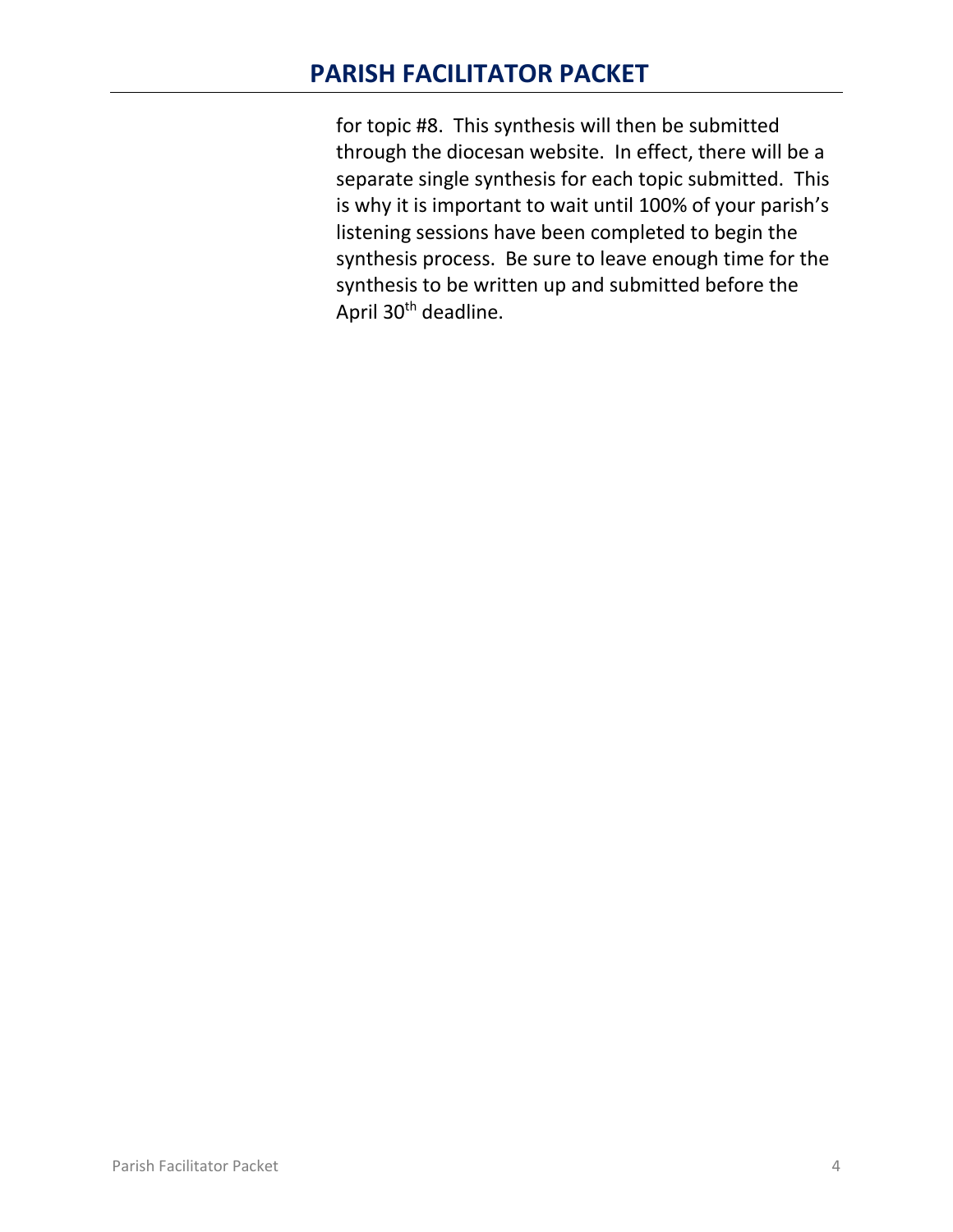for topic #8. This synthesis will then be submitted through the diocesan website. In effect, there will be a separate single synthesis for each topic submitted. This is why it is important to wait until 100% of your parish's listening sessions have been completed to begin the synthesis process. Be sure to leave enough time for the synthesis to be written up and submitted before the April 30<sup>th</sup> deadline.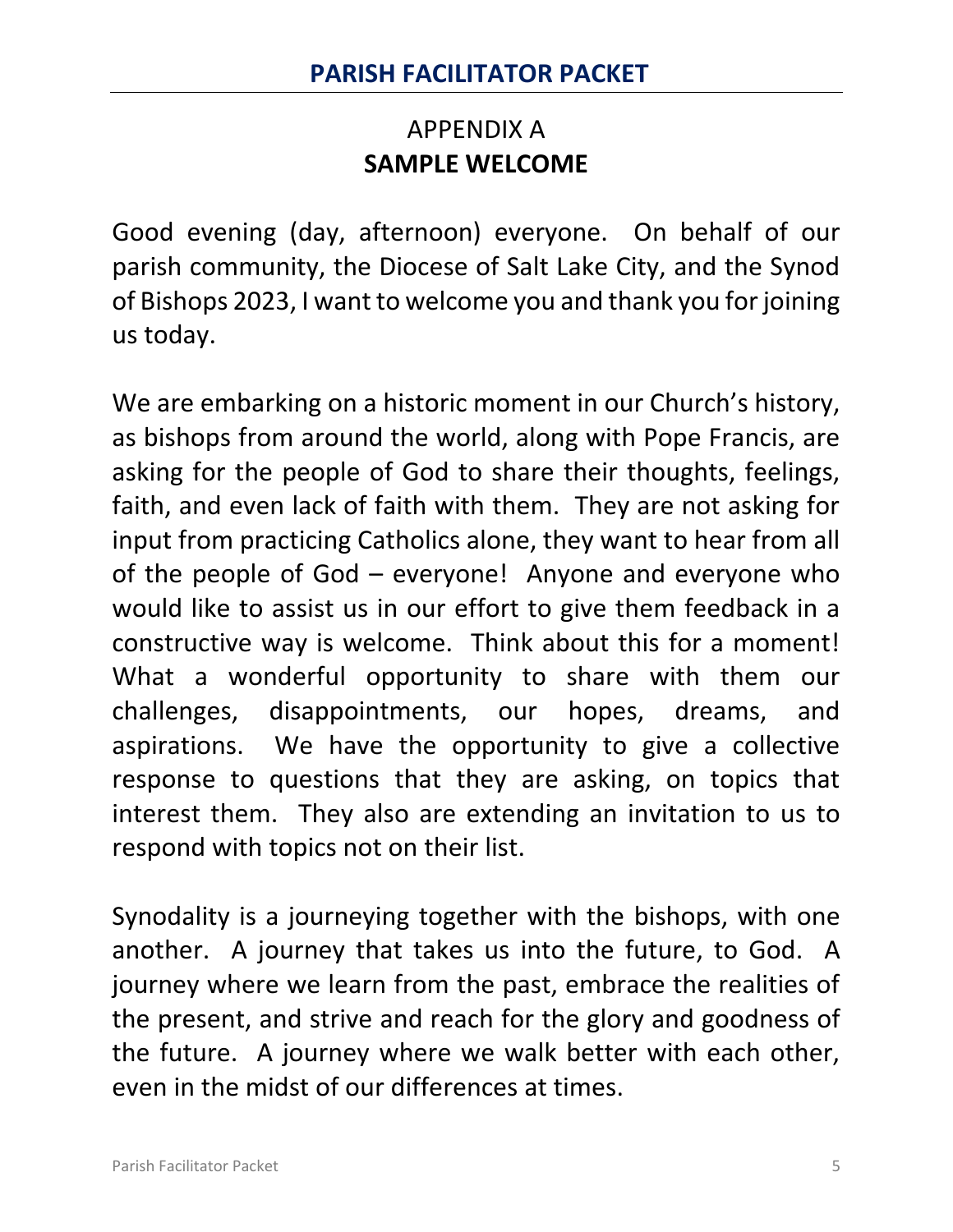# APPENDIX A **SAMPLE WELCOME**

Good evening (day, afternoon) everyone. On behalf of our parish community, the Diocese of Salt Lake City, and the Synod of Bishops 2023, I want to welcome you and thank you for joining us today.

We are embarking on a historic moment in our Church's history, as bishops from around the world, along with Pope Francis, are asking for the people of God to share their thoughts, feelings, faith, and even lack of faith with them. They are not asking for input from practicing Catholics alone, they want to hear from all of the people of God – everyone! Anyone and everyone who would like to assist us in our effort to give them feedback in a constructive way is welcome. Think about this for a moment! What a wonderful opportunity to share with them our challenges, disappointments, our hopes, dreams, and aspirations. We have the opportunity to give a collective response to questions that they are asking, on topics that interest them. They also are extending an invitation to us to respond with topics not on their list.

Synodality is a journeying together with the bishops, with one another. A journey that takes us into the future, to God. A journey where we learn from the past, embrace the realities of the present, and strive and reach for the glory and goodness of the future. A journey where we walk better with each other, even in the midst of our differences at times.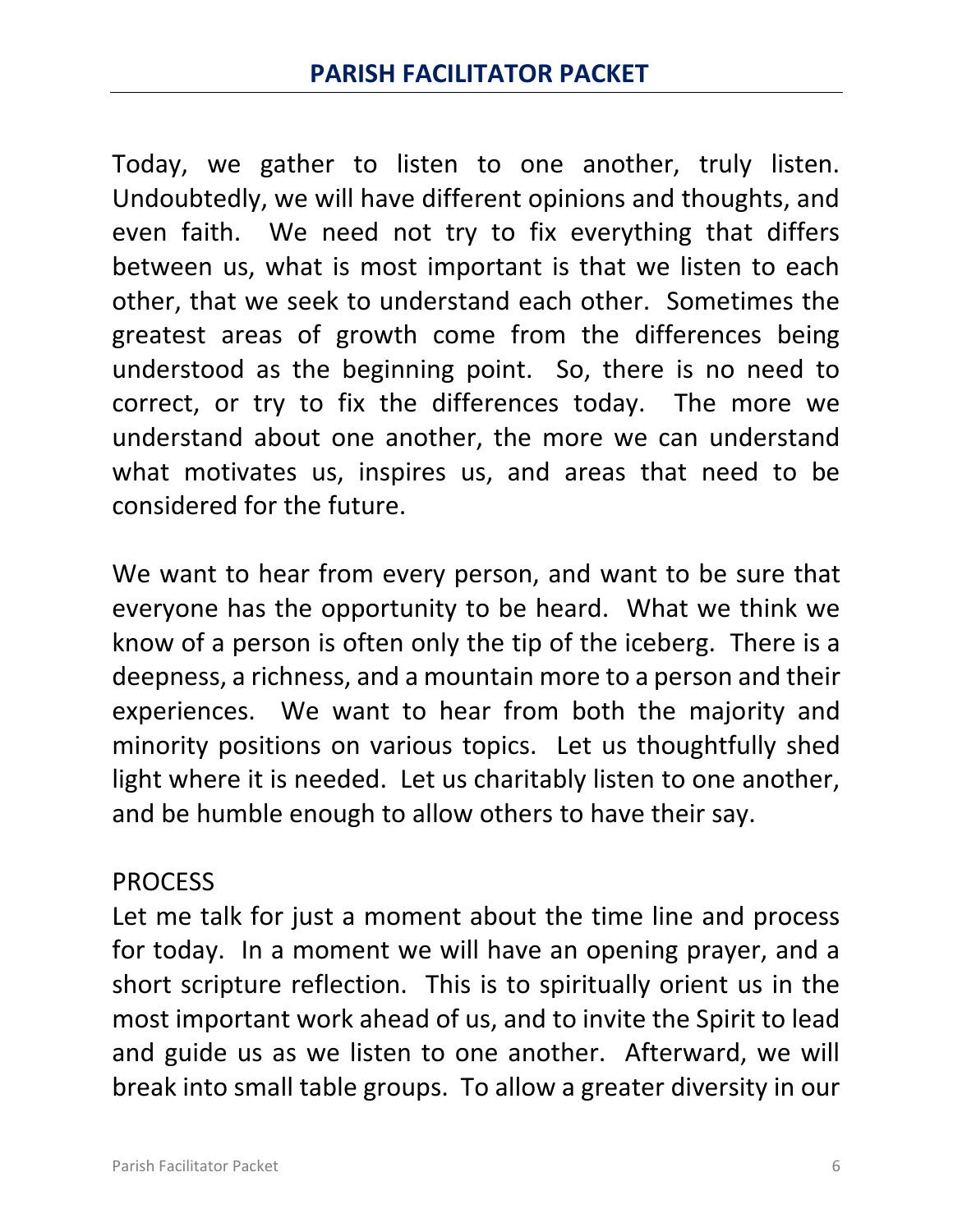Today, we gather to listen to one another, truly listen. Undoubtedly, we will have different opinions and thoughts, and even faith. We need not try to fix everything that differs between us, what is most important is that we listen to each other, that we seek to understand each other. Sometimes the greatest areas of growth come from the differences being understood as the beginning point. So, there is no need to correct, or try to fix the differences today. The more we understand about one another, the more we can understand what motivates us, inspires us, and areas that need to be considered for the future.

We want to hear from every person, and want to be sure that everyone has the opportunity to be heard. What we think we know of a person is often only the tip of the iceberg. There is a deepness, a richness, and a mountain more to a person and their experiences. We want to hear from both the majority and minority positions on various topics. Let us thoughtfully shed light where it is needed. Let us charitably listen to one another, and be humble enough to allow others to have their say.

## PROCESS

Let me talk for just a moment about the time line and process for today. In a moment we will have an opening prayer, and a short scripture reflection. This is to spiritually orient us in the most important work ahead of us, and to invite the Spirit to lead and guide us as we listen to one another. Afterward, we will break into small table groups. To allow a greater diversity in our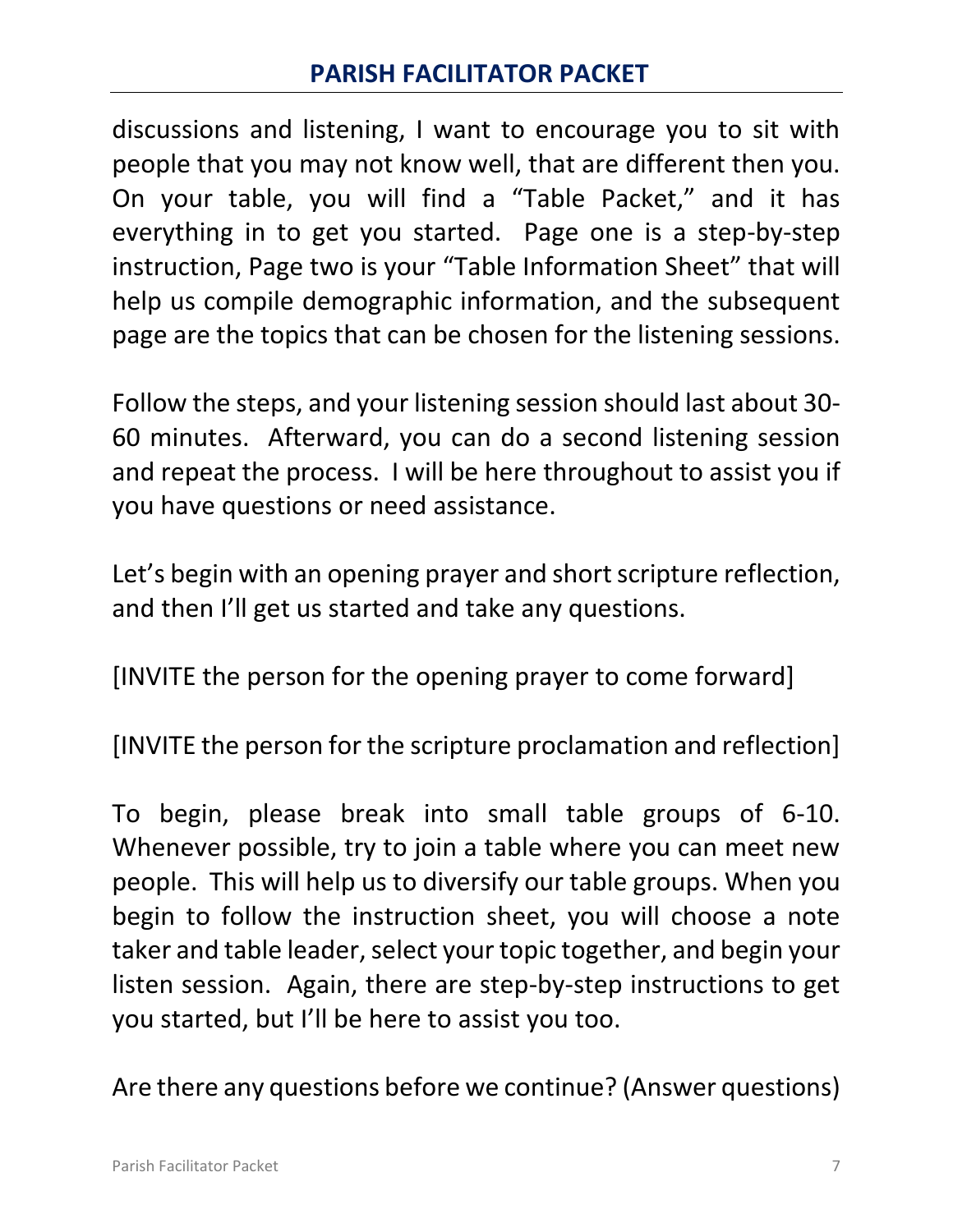discussions and listening, I want to encourage you to sit with people that you may not know well, that are different then you. On your table, you will find a "Table Packet," and it has everything in to get you started. Page one is a step-by-step instruction, Page two is your "Table Information Sheet" that will help us compile demographic information, and the subsequent page are the topics that can be chosen for the listening sessions.

Follow the steps, and your listening session should last about 30- 60 minutes. Afterward, you can do a second listening session and repeat the process. I will be here throughout to assist you if you have questions or need assistance.

Let's begin with an opening prayer and short scripture reflection, and then I'll get us started and take any questions.

[INVITE the person for the opening prayer to come forward]

[INVITE the person for the scripture proclamation and reflection]

To begin, please break into small table groups of 6-10. Whenever possible, try to join a table where you can meet new people. This will help us to diversify our table groups. When you begin to follow the instruction sheet, you will choose a note taker and table leader, select your topic together, and begin your listen session. Again, there are step-by-step instructions to get you started, but I'll be here to assist you too.

Are there any questions before we continue? (Answer questions)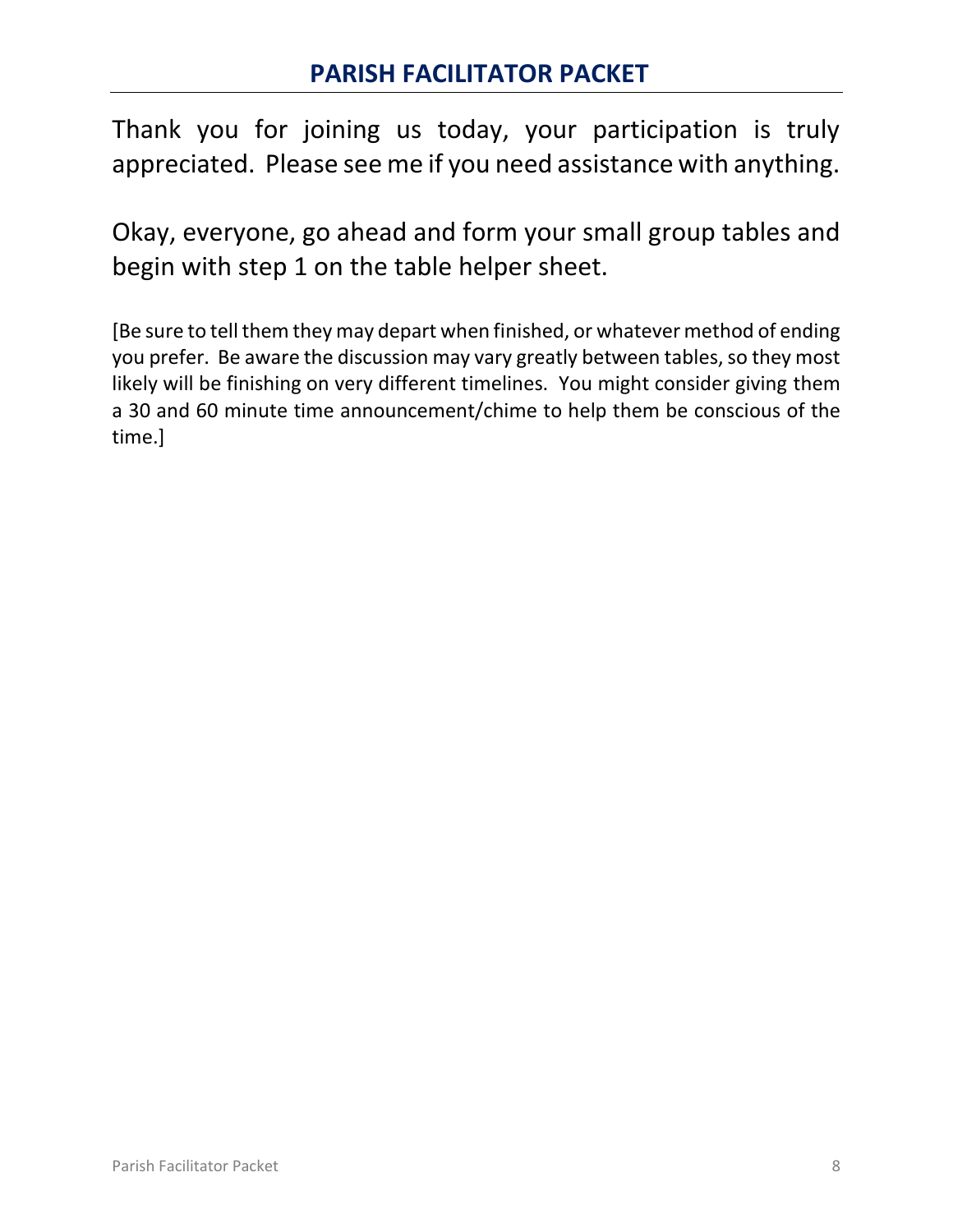Thank you for joining us today, your participation is truly appreciated. Please see me if you need assistance with anything.

Okay, everyone, go ahead and form your small group tables and begin with step 1 on the table helper sheet.

[Be sure to tell them they may depart when finished, or whatever method of ending you prefer. Be aware the discussion may vary greatly between tables, so they most likely will be finishing on very different timelines. You might consider giving them a 30 and 60 minute time announcement/chime to help them be conscious of the time.]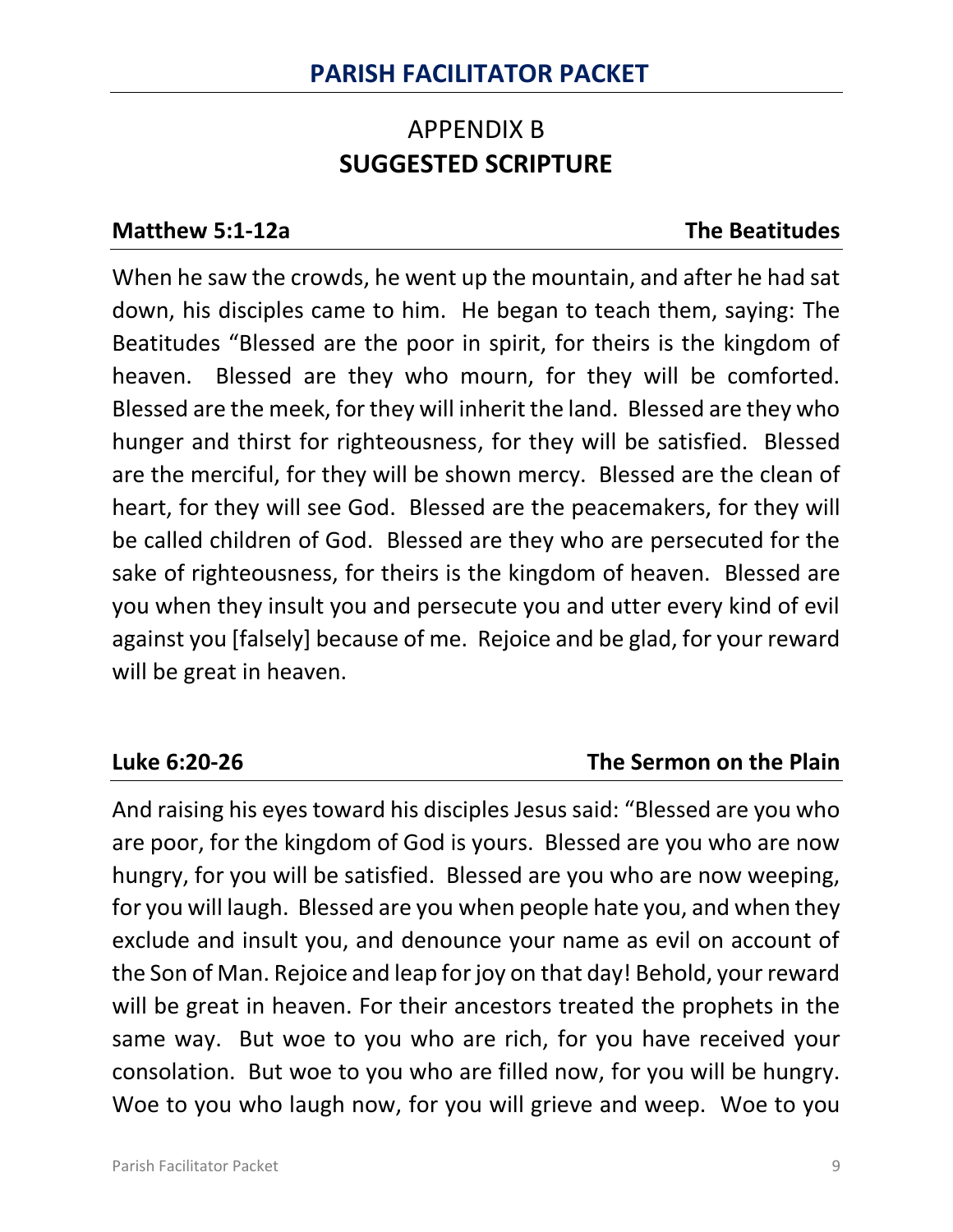# APPENDIX B **SUGGESTED SCRIPTURE**

### **Matthew 5:1-12a The Beatitudes**

When he saw the crowds, he went up the mountain, and after he had sat down, his disciples came to him. He began to teach them, saying: The Beatitudes "Blessed are the poor in spirit, for theirs is the kingdom of heaven. Blessed are they who mourn, for they will be comforted. Blessed are the meek, for they will inherit the land. Blessed are they who hunger and thirst for righteousness, for they will be satisfied. Blessed are the merciful, for they will be shown mercy. Blessed are the clean of heart, for they will see God. Blessed are the peacemakers, for they will be called children of God. Blessed are they who are persecuted for the sake of righteousness, for theirs is the kingdom of heaven. Blessed are you when they insult you and persecute you and utter every kind of evil against you [falsely] because of me. Rejoice and be glad, for your reward will be great in heaven.

## **Luke 6:20-26 The Sermon on the Plain**

And raising his eyes toward his disciples Jesus said: "Blessed are you who are poor, for the kingdom of God is yours. Blessed are you who are now hungry, for you will be satisfied. Blessed are you who are now weeping, for you will laugh. Blessed are you when people hate you, and when they exclude and insult you, and denounce your name as evil on account of the Son of Man. Rejoice and leap for joy on that day! Behold, your reward will be great in heaven. For their ancestors treated the prophets in the same way. But woe to you who are rich, for you have received your consolation. But woe to you who are filled now, for you will be hungry. Woe to you who laugh now, for you will grieve and weep. Woe to you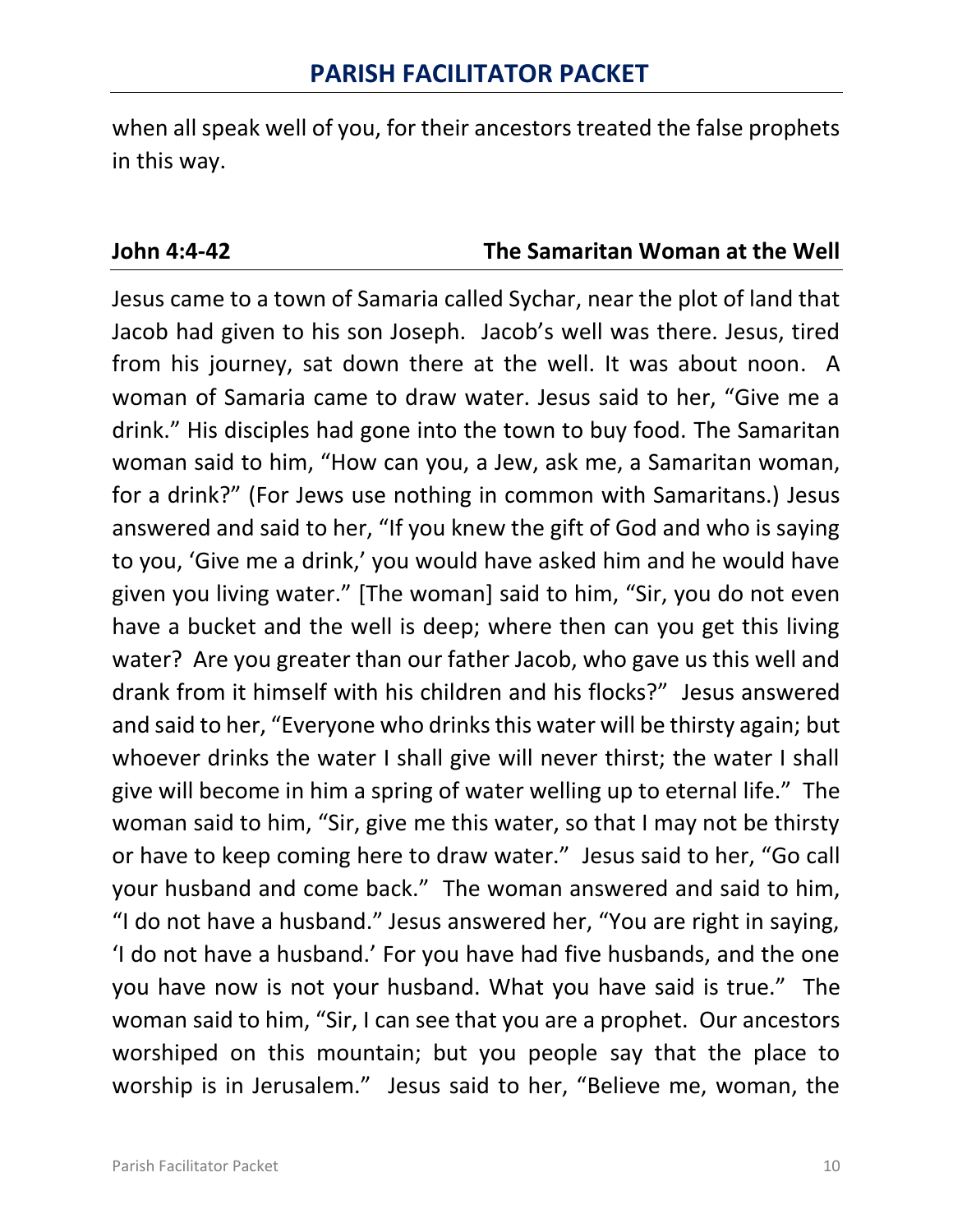when all speak well of you, for their ancestors treated the false prophets in this way.

### **John 4:4-42 The Samaritan Woman at the Well**

Jesus came to a town of Samaria called Sychar, near the plot of land that Jacob had given to his son Joseph. Jacob's well was there. Jesus, tired from his journey, sat down there at the well. It was about noon. A woman of Samaria came to draw water. Jesus said to her, "Give me a drink." His disciples had gone into the town to buy food. The Samaritan woman said to him, "How can you, a Jew, ask me, a Samaritan woman, for a drink?" (For Jews use nothing in common with Samaritans.) Jesus answered and said to her, "If you knew the gift of God and who is saying to you, 'Give me a drink,' you would have asked him and he would have given you living water." [The woman] said to him, "Sir, you do not even have a bucket and the well is deep; where then can you get this living water? Are you greater than our father Jacob, who gave us this well and drank from it himself with his children and his flocks?" Jesus answered and said to her, "Everyone who drinks this water will be thirsty again; but whoever drinks the water I shall give will never thirst; the water I shall give will become in him a spring of water welling up to eternal life." The woman said to him, "Sir, give me this water, so that I may not be thirsty or have to keep coming here to draw water." Jesus said to her, "Go call your husband and come back." The woman answered and said to him, "I do not have a husband." Jesus answered her, "You are right in saying, 'I do not have a husband.' For you have had five husbands, and the one you have now is not your husband. What you have said is true." The woman said to him, "Sir, I can see that you are a prophet. Our ancestors worshiped on this mountain; but you people say that the place to worship is in Jerusalem." Jesus said to her, "Believe me, woman, the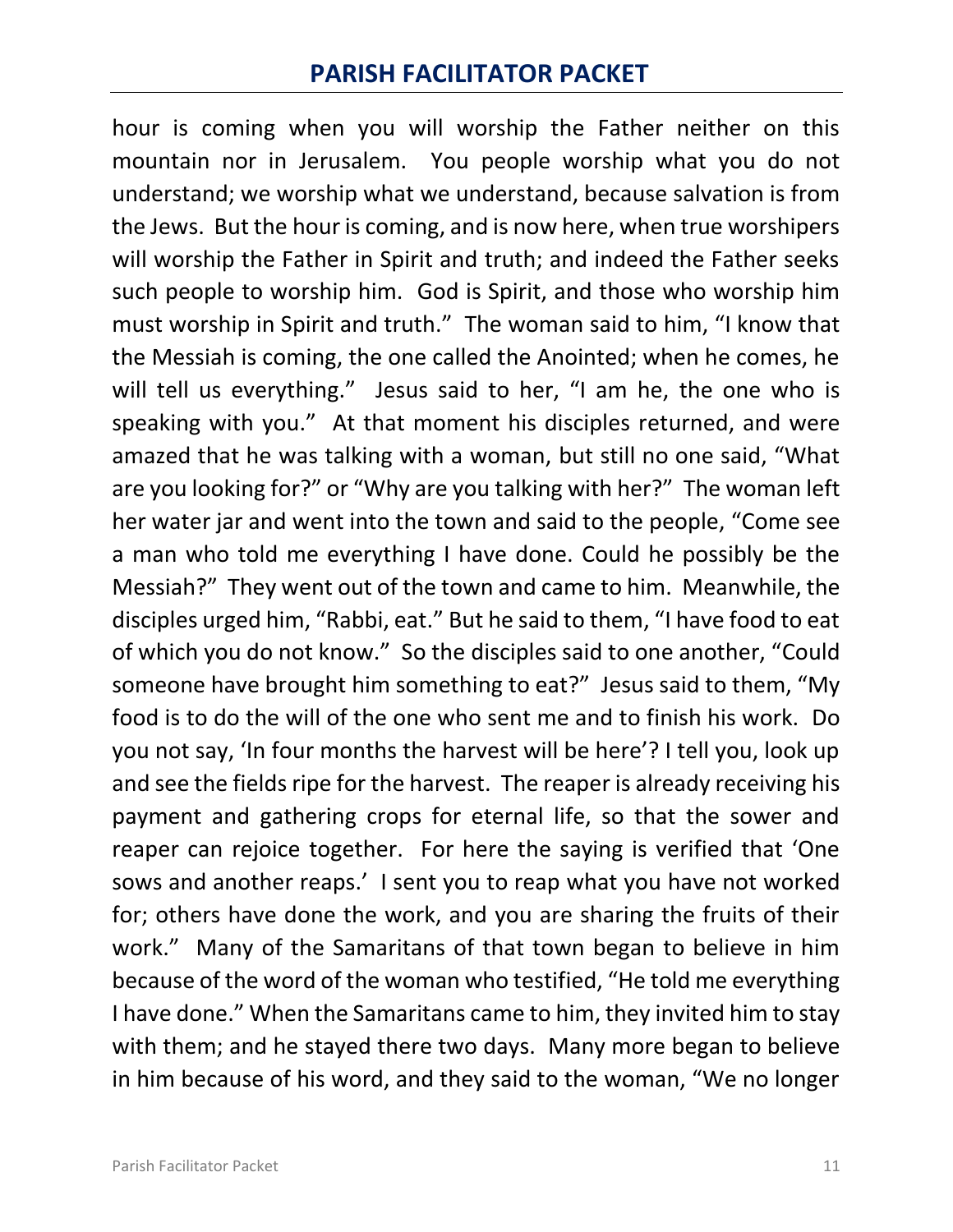hour is coming when you will worship the Father neither on this mountain nor in Jerusalem. You people worship what you do not understand; we worship what we understand, because salvation is from the Jews. But the hour is coming, and is now here, when true worshipers will worship the Father in Spirit and truth; and indeed the Father seeks such people to worship him. God is Spirit, and those who worship him must worship in Spirit and truth." The woman said to him, "I know that the Messiah is coming, the one called the Anointed; when he comes, he will tell us everything." Jesus said to her, "I am he, the one who is speaking with you." At that moment his disciples returned, and were amazed that he was talking with a woman, but still no one said, "What are you looking for?" or "Why are you talking with her?" The woman left her water jar and went into the town and said to the people, "Come see a man who told me everything I have done. Could he possibly be the Messiah?" They went out of the town and came to him. Meanwhile, the disciples urged him, "Rabbi, eat." But he said to them, "I have food to eat of which you do not know." So the disciples said to one another, "Could someone have brought him something to eat?" Jesus said to them, "My food is to do the will of the one who sent me and to finish his work. Do you not say, 'In four months the harvest will be here'? I tell you, look up and see the fields ripe for the harvest. The reaper is already receiving his payment and gathering crops for eternal life, so that the sower and reaper can rejoice together. For here the saying is verified that 'One sows and another reaps.' I sent you to reap what you have not worked for; others have done the work, and you are sharing the fruits of their work." Many of the Samaritans of that town began to believe in him because of the word of the woman who testified, "He told me everything I have done." When the Samaritans came to him, they invited him to stay with them; and he stayed there two days. Many more began to believe in him because of his word, and they said to the woman, "We no longer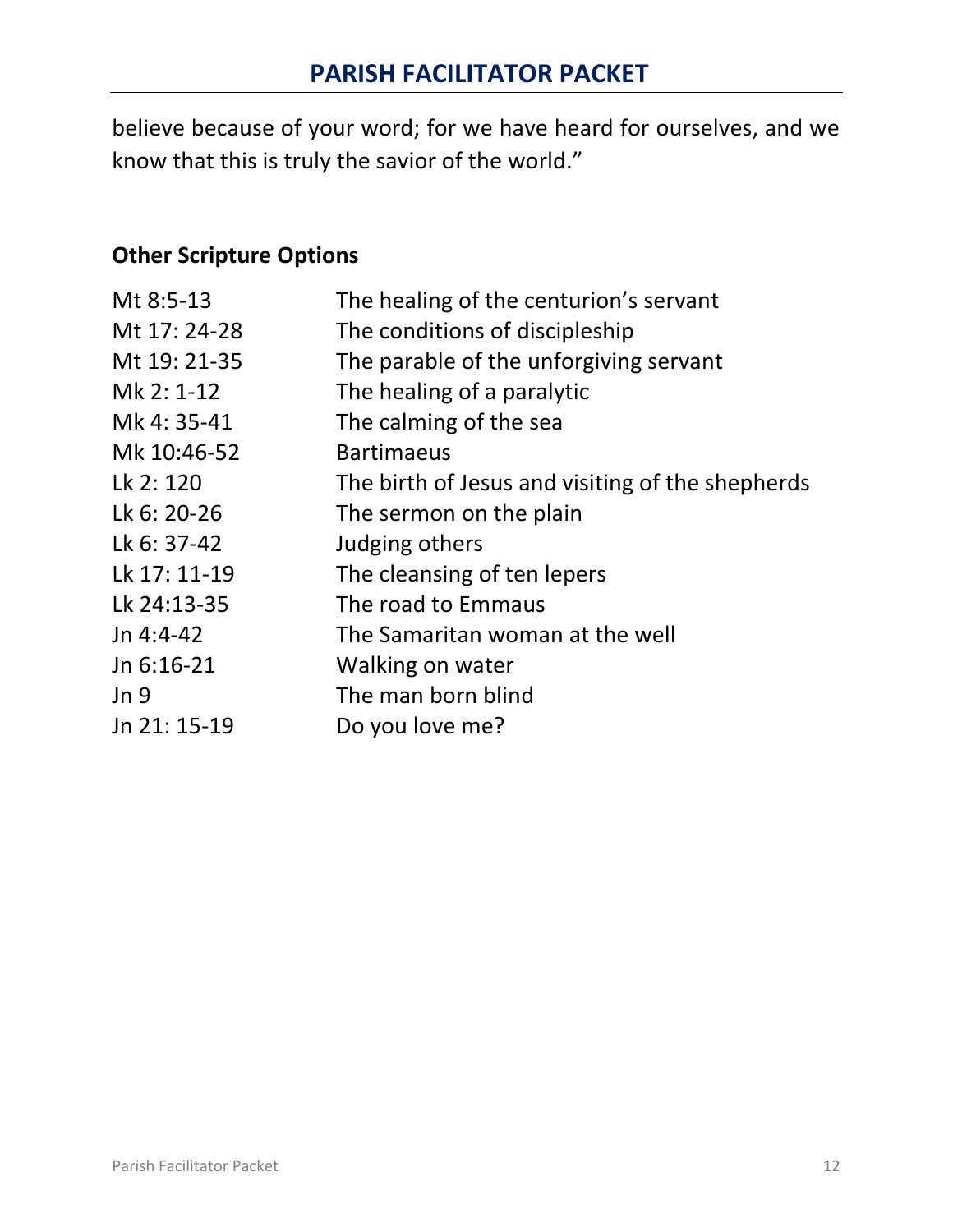believe because of your word; for we have heard for ourselves, and we know that this is truly the savior of the world."

# **Other Scripture Options**

| Mt 8:5-13       | The healing of the centurion's servant           |
|-----------------|--------------------------------------------------|
| Mt 17: 24-28    | The conditions of discipleship                   |
| Mt 19: 21-35    | The parable of the unforgiving servant           |
| Mk 2: 1-12      | The healing of a paralytic                       |
| Mk 4: 35-41     | The calming of the sea                           |
| Mk 10:46-52     | <b>Bartimaeus</b>                                |
| Lk 2: 120       | The birth of Jesus and visiting of the shepherds |
| Lk 6: 20-26     | The sermon on the plain                          |
| Lk 6: 37-42     | Judging others                                   |
| Lk 17: 11-19    | The cleansing of ten lepers                      |
| Lk 24:13-35     | The road to Emmaus                               |
| Jn $4:4-42$     | The Samaritan woman at the well                  |
| Jn 6:16-21      | Walking on water                                 |
| Jn <sub>9</sub> | The man born blind                               |
| Jn 21: 15-19    | Do you love me?                                  |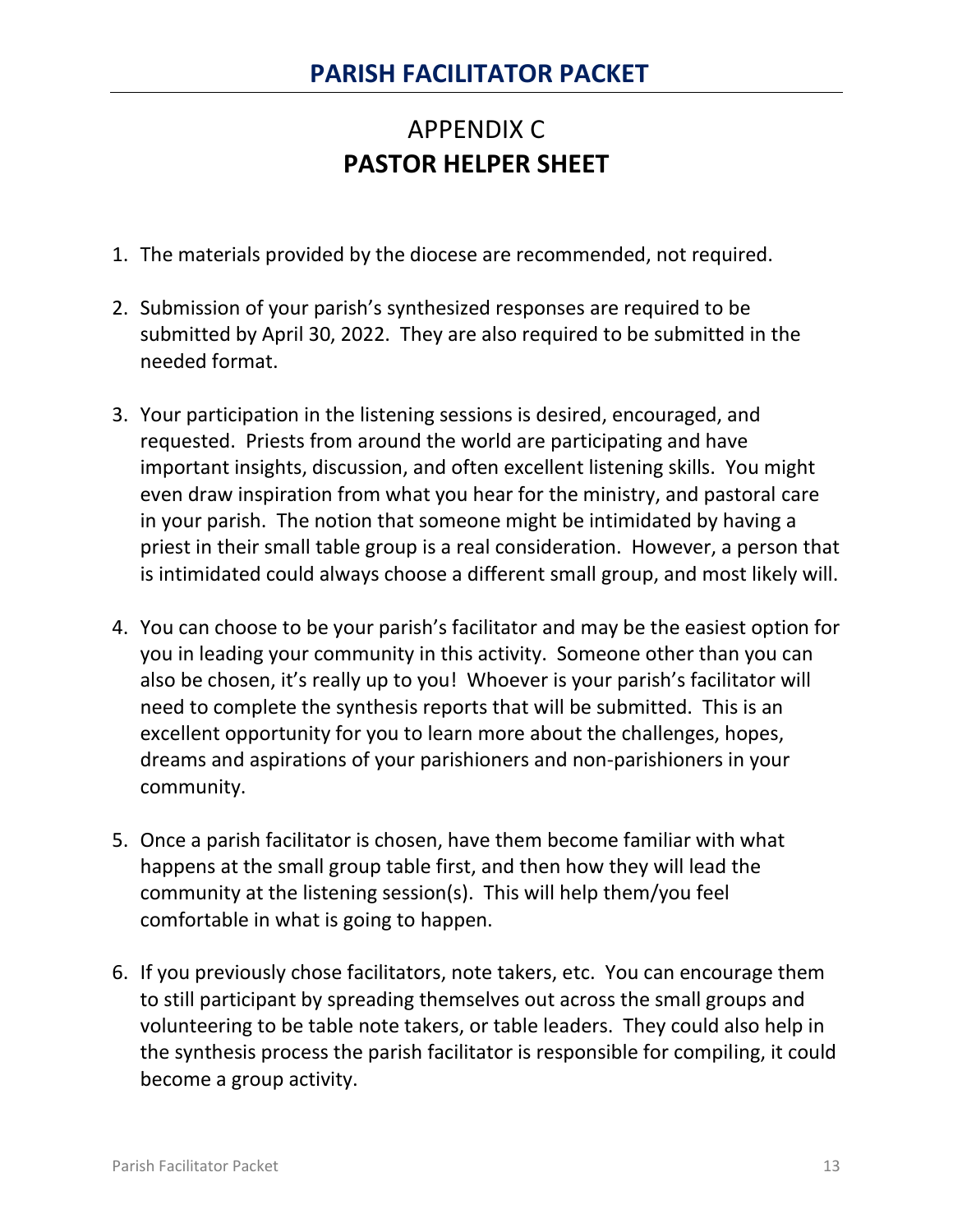# APPENDIX C **PASTOR HELPER SHEET**

- 1. The materials provided by the diocese are recommended, not required.
- 2. Submission of your parish's synthesized responses are required to be submitted by April 30, 2022. They are also required to be submitted in the needed format.
- 3. Your participation in the listening sessions is desired, encouraged, and requested. Priests from around the world are participating and have important insights, discussion, and often excellent listening skills. You might even draw inspiration from what you hear for the ministry, and pastoral care in your parish. The notion that someone might be intimidated by having a priest in their small table group is a real consideration. However, a person that is intimidated could always choose a different small group, and most likely will.
- 4. You can choose to be your parish's facilitator and may be the easiest option for you in leading your community in this activity. Someone other than you can also be chosen, it's really up to you! Whoever is your parish's facilitator will need to complete the synthesis reports that will be submitted. This is an excellent opportunity for you to learn more about the challenges, hopes, dreams and aspirations of your parishioners and non-parishioners in your community.
- 5. Once a parish facilitator is chosen, have them become familiar with what happens at the small group table first, and then how they will lead the community at the listening session(s). This will help them/you feel comfortable in what is going to happen.
- 6. If you previously chose facilitators, note takers, etc. You can encourage them to still participant by spreading themselves out across the small groups and volunteering to be table note takers, or table leaders. They could also help in the synthesis process the parish facilitator is responsible for compiling, it could become a group activity.